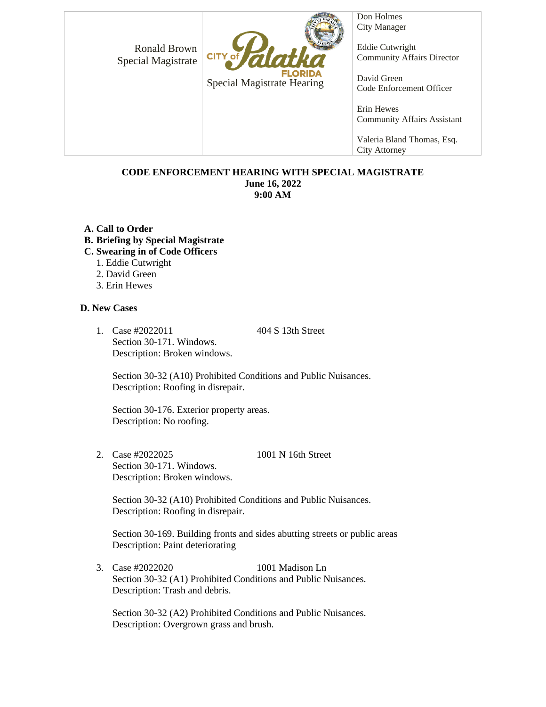Ronald Brown Special Magistrate



Special Magistrate Hearing

Don Holmes City Manager

Eddie Cutwright Community Affairs Director

David Green Code Enforcement Officer

Erin Hewes Community Affairs Assistant

Valeria Bland Thomas, Esq. City Attorney

## **CODE ENFORCEMENT HEARING WITH SPECIAL MAGISTRATE June 16, 2022 9:00 AM**

- **A. Call to Order**
- **B. Briefing by Special Magistrate**
- **C. Swearing in of Code Officers**
	- 1. Eddie Cutwright
	- 2. David Green
	- 3. Erin Hewes

## **D. New Cases**

1. Case #2022011 404 S 13th Street Section 30-171. Windows. Description: Broken windows.

Section 30-32 (A10) Prohibited Conditions and Public Nuisances. Description: Roofing in disrepair.

Section 30-176. Exterior property areas. Description: No roofing.

2. Case #2022025 1001 N 16th Street Section 30-171. Windows. Description: Broken windows.

Section 30-32 (A10) Prohibited Conditions and Public Nuisances. Description: Roofing in disrepair.

Section 30-169. Building fronts and sides abutting streets or public areas Description: Paint deteriorating

3. Case #2022020 1001 Madison Ln Section 30-32 (A1) Prohibited Conditions and Public Nuisances. Description: Trash and debris.

Section 30-32 (A2) Prohibited Conditions and Public Nuisances. Description: Overgrown grass and brush.